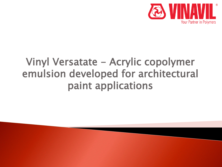

# Vinyl Versatate - Acrylic copolymer emulsion developed for architectural paint applications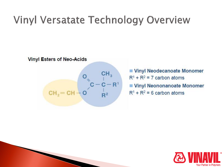# **Vinyl Versatate Technology Overview**



Vinyl Neodecanoate Monomer  $R^1$  +  $R^2$  = 7 carbon atoms Vinyl Neononanoate Monomer  $R^1$  +  $R^2$  = 6 carbon atoms

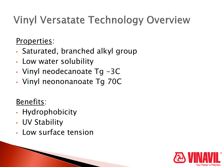# **Vinyl Versatate Technology Overview**

Properties:

- Saturated, branched alkyl group
- Low water solubility
- Vinyl neodecanoate Tg -3C
- Vinyl neononanoate Tg 70C

### Benefits:

- Hydrophobicity
- UV Stability
- Low surface tension

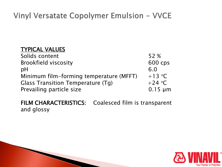#### TYPICAL VALUES

**The Comment of Comment Comment Comment** 

| Solids content                           | 52 %         |
|------------------------------------------|--------------|
| <b>Brookfield viscosity</b>              | 600 cps      |
| pH                                       | 6.0          |
| Minimum film-forming temperature (MFFT)  | $+13$ °C     |
| <b>Glass Transition Temperature (Tg)</b> | $+24$ °C     |
| Prevailing particle size                 | $0.15 \mu m$ |

FILM CHARACTERISTICS: Coalesced film is transparent and glossy

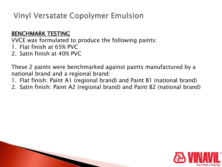#### BENCHMARK TESTING

VVCE was formulated to produce the following paints:

- 1. Flat finish at 65% PVC
- 2. Satin finish at 40% PVC

**The Comment of Comment Comment Comment** 

These 2 paints were benchmarked against paints manufactured by a national brand and a regional brand:

- 1. Flat finish: Paint A1 (regional brand) and Paint B1 (national brand)
- 2. Satin finish: Paint A2 (regional brand) and Paint B2 (national brand)

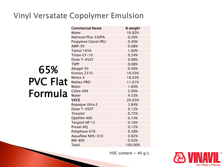|                 | <b>Commercial Name</b> | % weight |
|-----------------|------------------------|----------|
|                 | Water                  | 16.82%   |
|                 | Natrosol Plus 330PA    | 0.26%    |
|                 | Propylene Glycol (PG)  | 0.40%    |
|                 | $AMP-95$               | 0.08%    |
|                 | Tamol 165A             | 1.60%    |
|                 | Triton CF-10           | 0.24%    |
|                 | <b>Drew T-4507</b>     | 0.08%    |
|                 | <b>TSPP</b>            | 0.08%    |
| 65%             | Attagel 50             | 0.40%    |
|                 | Kronos 2310            | 16.03%   |
|                 | Minex 4                | 18.03%   |
| <b>PVC Flat</b> | <b>Mattex PRO</b>      | 11.61%   |
|                 | Water                  | 1.60%    |
| Formula         | Celite 499             | 2.00%    |
|                 | Water                  | 4.53%    |
|                 | <b>VVCE</b>            | 20.02%   |
|                 | Ropaque Ultra E        | 3.84%    |
|                 | Drew T-4507            | 0.12%    |
|                 | Texanol                | 0.72%    |
|                 | Optifilm 400           | 0.14%    |
|                 | Tergitol NP 13         | 0.16%    |
|                 | Proxel AQ              | 0.12%    |
|                 | Polyphase 678          | 0.28%    |
|                 | Aquaflow NHS-310       | 0.82%    |
|                 | RM-895                 | 0.02%    |
|                 | Total                  | 100.00%  |

VOC content =  $40 g/L$ 

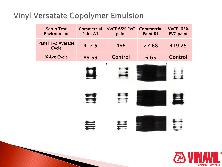P

| <b>Scrub Test</b><br><b>Environment</b> | <b>Commercial</b><br>Paint A1 | <b>VVCE 65% PVC</b><br>paint | <b>Commercial</b><br>Paint B1 | <b>VVCE 65%</b><br><b>PVC</b> paint |
|-----------------------------------------|-------------------------------|------------------------------|-------------------------------|-------------------------------------|
| anel 1-2 Average<br>Cycle               | 417.5                         | 466                          | 27.88                         | 419.25                              |
| % Ave Cycle                             | 89.59                         | <b>Control</b>               | 6.65                          | <b>Control</b>                      |
|                                         |                               | V                            |                               |                                     |
|                                         |                               |                              |                               |                                     |
|                                         |                               |                              |                               |                                     |

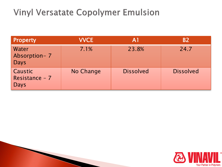| <b>Property</b>                                 | <b>VVCE</b> | $\mathsf{A}1$    | <b>B2</b>        |
|-------------------------------------------------|-------------|------------------|------------------|
| <b>Water</b><br>Absorption-7<br><b>Days</b>     | 7.1%        | 23.8%            | 24.7             |
| <b>Caustic</b><br>Resistance - 7<br><b>Days</b> | No Change   | <b>Dissolved</b> | <b>Dissolved</b> |

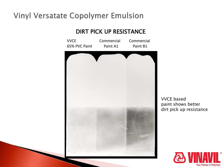#### DIRT PICK UP RESISTANCE



VVCE based paint shows better dirt pick up resistance

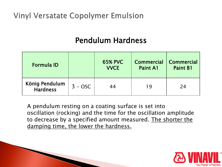**The Comment of Comment Comment Comment** 

#### Pendulum Hardness

| <b>Formula ID</b>                 |           | <b>65% PVC</b><br><b>VVCE</b> | <b>Commercial</b><br>Paint A1 | <b>Commercial</b><br><b>Paint B1</b> |
|-----------------------------------|-----------|-------------------------------|-------------------------------|--------------------------------------|
| König Pendulum<br><b>Hardness</b> | $3 - OSC$ | 44                            | 19                            | 24                                   |

A pendulum resting on a coating surface is set into oscillation (rocking) and the time for the oscillation amplitude to decrease by a specified amount measured. The shorter the damping time, the lower the hardness.

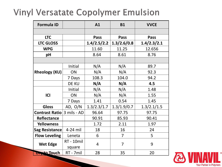| <b>Formula ID</b>    |                   | A1          | <b>B1</b>      | <b>VVCE</b> |
|----------------------|-------------------|-------------|----------------|-------------|
|                      |                   |             |                |             |
| <b>LTC</b>           |                   | <b>Pass</b> | <b>Pass</b>    | Pass        |
| <b>LTC GLOSS</b>     |                   | 1.4/2.5/2.2 | 1.3/2.6/0.8    | 1.4/2.3/2.1 |
| <b>WPG</b>           |                   | 11.60       | 11.25          | 12.656      |
| pH                   |                   | 8.64        | 8.61           | 8.76        |
|                      |                   |             |                |             |
|                      | Initial           | N/A         | N/A            | 89.7        |
| <b>Rheology (KU)</b> | ON                | N/A         | N/A            | 92.3        |
|                      | 7 Days            | 108.3       | 104.0          | 94.2        |
|                      | <b>DE KU</b>      | N/A         | N/A            | 4.5         |
| <b>ICI</b>           | Initial           | N/A         | N/A            | 1.48        |
|                      | ON                | N/A         | N/A            | 1.55        |
|                      | 7 Days            | 1.41        | 0.54           | 1.45        |
| <b>Gloss</b>         | AD, $O/N$         | 1.3/2.3/1.7 | 1.3/1.9/0.7    | 1.3/2.1/1.5 |
| Contrast Ratio       | 3 mils - AD       | 96.64       | 97.75          | 97.75       |
| Reflectance          |                   | 90.91       | 85.93          | 90.41       |
| <b>Yellowness</b>    |                   | 1.72        | 2.11           | 1.97        |
| Sag Resistance       | 4-24 mil          | 18          | 16             | 24          |
| <b>Flow Leveling</b> | Leneta            | 6           | $\overline{7}$ | 5           |
| <b>Wet Edge</b>      | <b>RT</b> - 10mil | 4           | $\overline{7}$ | 9           |
|                      | square            |             |                |             |
| <b>Dryto Touch</b>   | RT - 7mil         | 28          | 35             | 20          |

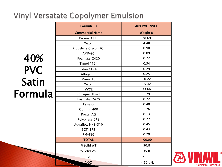40% PVC Satin Formula

| <b>Formula ID</b>      | 40% PVC VVCE |
|------------------------|--------------|
| <b>Commercial Name</b> | Weight %     |
| Kronos 4311            | 28.69        |
| Water                  | 4.48         |
| Propylene Glycol (PG)  | 0.90         |
| $AMP-95$               | 0.09         |
| Foamstar 2420          | 0.22         |
| <b>Tamol 1124</b>      | 0.54         |
| Triton CF-10           | 0.29         |
| Attagel 50             | 0.25         |
| Minex 10               | 10.22        |
| Water                  | 15.42        |
| <b>VVCE</b>            | 33.66        |
| Ropaque Ultra E        | 1.79         |
| Foamstar 2420          | 0.22         |
| Texanol                | 0.40         |
| Optifilm 400           | 1.26         |
| Proxel AQ              | 0.13         |
| Polyphase 678          | 0.27         |
| Aquaflow NHS-310       | 0.45         |
| <b>SCT-275</b>         | 0.43         |
| RM-895                 | 0.29         |
| <b>TOTAL</b>           | 100.00       |
| % Solid WT             | 50.8         |
| % Solid Vol            | 35.0         |
| <b>PVC</b>             | 40.05        |
| VOC                    | $<$ 50 g/L   |

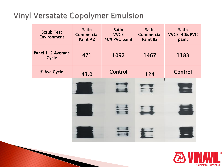| <b>Scrub Test</b><br><b>Environment</b> | <b>Satin</b><br><b>Commercial</b><br>Paint A2 | <b>Satin</b><br><b>VVCE</b><br>40% PVC paint | <b>Satin</b><br><b>Commercial</b><br>Paint B2 | <b>Satin</b><br>VVCE 40% PVC<br>paint |
|-----------------------------------------|-----------------------------------------------|----------------------------------------------|-----------------------------------------------|---------------------------------------|
| Panel 1-2 Average<br>Cycle              | 471                                           | 1092                                         | 1467                                          | 1183                                  |
| % Ave Cycle                             | 43.0                                          | <b>Control</b>                               | 124                                           | <b>Control</b>                        |
|                                         |                                               |                                              |                                               |                                       |
|                                         |                                               |                                              |                                               |                                       |
|                                         |                                               |                                              |                                               |                                       |

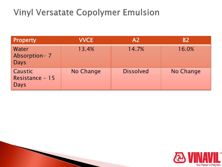| <b>Property</b>                                  | <b>VVCE</b> | A <sub>2</sub>   | <b>B2</b> |
|--------------------------------------------------|-------------|------------------|-----------|
| <b>Water</b><br>Absorption-7<br><b>Days</b>      | 13.4%       | 14.7%            | 16.0%     |
| <b>Caustic</b><br>Resistance - 15<br><b>Days</b> | No Change   | <b>Dissolved</b> | No Change |

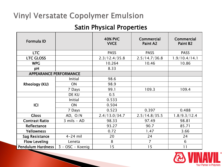#### Satin Physical Properties

| Formula ID                    |                  | <b>40% PVC</b><br><b>VVCE</b> | <b>Commercial</b><br>Paint A2 | <b>Commercial</b><br>Paint B <sub>2</sub> |
|-------------------------------|------------------|-------------------------------|-------------------------------|-------------------------------------------|
| <b>LTC</b>                    |                  | <b>PASS</b>                   | <b>PASS</b>                   | <b>PASS</b>                               |
| <b>LTC GLOSS</b>              |                  | 2.3/12.4/35.8                 | 2.5/14.7/36.8                 | 1.9/10.4/14.1                             |
| <b>WPG</b>                    |                  | 10.264                        | 10.46                         | 10.86                                     |
| pH                            |                  | 8.33                          |                               |                                           |
| <b>APPEARANCE PERFORMANCE</b> |                  |                               |                               |                                           |
|                               | Initial          | 98.6                          |                               |                                           |
| <b>Rheology (KU)</b>          | ON               | 98.9                          |                               |                                           |
|                               | 7 Days           | 99.1                          | 109.3                         | 109.4                                     |
|                               | DE KU            | 0.5                           |                               |                                           |
|                               | Initial          | 0.533                         |                               |                                           |
| <b>ICI</b>                    | <b>ON</b>        | 0.504                         |                               |                                           |
|                               | 7 Days           | 0.523                         | 0.397                         | 0.488                                     |
| <b>Gloss</b>                  | AD, $O/N$        | 2.4/13.0/34.7                 | 2.5/14.8/35.5                 | 1.8/9.3/12.4                              |
| <b>Contrast Ratio</b>         | $3$ mils - AD    | 98.33                         | 97.49                         | 98.81                                     |
| Reflectance                   |                  | 93.27                         | 90.7                          | 85.71                                     |
| <b>Yellowness</b>             |                  | 0.72                          | 1.47                          | 3.66                                      |
| <b>Sag Resistance</b>         | $4-24$ mil       | 20                            | 24                            | 24                                        |
| <b>Flow Leveling</b>          | Leneta           | 8                             | $\overline{7}$                | 6                                         |
| <b>Pendulum Hardness</b>      | 3 - OSC - Koenig | 15                            | 15                            | 11                                        |

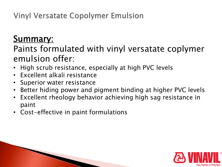## Summary:

### Paints formulated with vinyl versatate coplymer emulsion offer:

- High scrub resistance, especially at high PVC levels
- Excellent alkali resistance
- Superior water resistance

**The Common Seconds** 

- Better hiding power and pigment binding at higher PVC levels
- Excellent rheology behavior achieving high sag resistance in paint
- Cost-effective in paint formulations